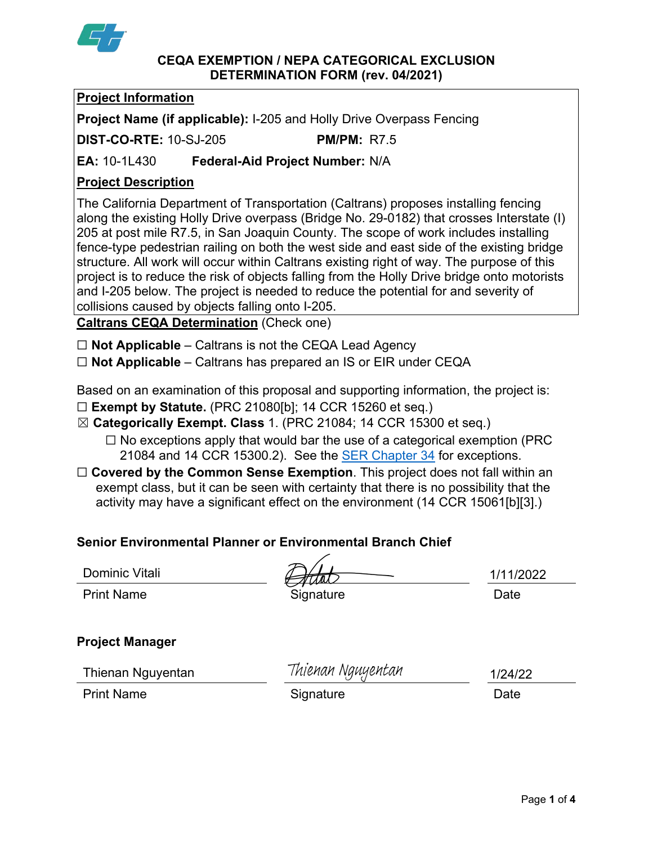

#### **CEQA EXEMPTION / NEPA CATEGORICAL EXCLUSION DETERMINATION FORM (rev. 04/2021)**

# **Project Information**

**Project Name (if applicable):** I-205 and Holly Drive Overpass Fencing

**DIST-CO-RTE:** 10-SJ-205 **PM/PM:** R7.5

**EA:** 10-1L430 **Federal-Aid Project Number:** N/A

# **Project Description**

The California Department of Transportation (Caltrans) proposes installing fencing along the existing Holly Drive overpass (Bridge No. 29-0182) that crosses Interstate (I) 205 at post mile R7.5, in San Joaquin County. The scope of work includes installing fence-type pedestrian railing on both the west side and east side of the existing bridge structure. All work will occur within Caltrans existing right of way. The purpose of this project is to reduce the risk of objects falling from the Holly Drive bridge onto motorists and I-205 below. The project is needed to reduce the potential for and severity of collisions caused by objects falling onto I-205.

**Caltrans CEQA Determination** (Check one)

☐ **Not Applicable** – Caltrans is not the CEQA Lead Agency

☐ **Not Applicable** – Caltrans has prepared an IS or EIR under CEQA

Based on an examination of this proposal and supporting information, the project is:

- ☐ **Exempt by Statute.** (PRC 21080[b]; 14 CCR 15260 et seq.)
- ☒ **Categorically Exempt. Class** 1. (PRC 21084; 14 CCR 15300 et seq.)
	- $\Box$  No exceptions apply that would bar the use of a categorical exemption (PRC) 21084 and 14 CCR 15300.2). See the **SER Chapter 34** for exceptions.
- □ **Covered by the Common Sense Exemption**. This project does not fall within an exempt class, but it can be seen with certainty that there is no possibility that the activity may have a significant effect on the environment (14 CCR 15061[b][3].)

# **Senior Environmental Planner or Environmental Branch Chief**

Dominic Vitali

Print Name **Signature Contract System** Signature **Date** Date

1/11/2022

# **Project Manager**

Thienan Nguyentan

Thienan Nguyentan

Print Name **Signature Date** 

1/24/22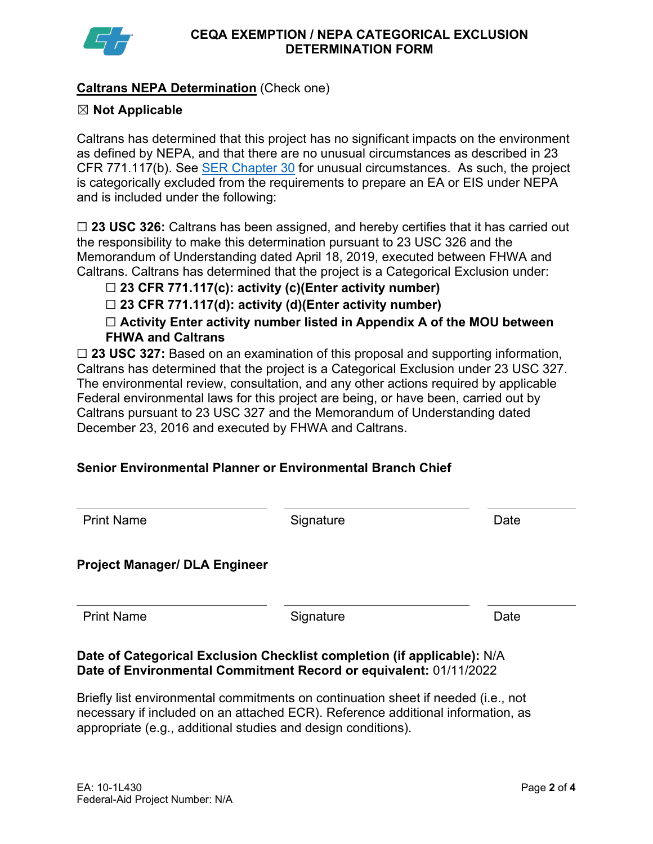

## **Caltrans NEPA Determination** (Check one)

### ☒ **Not Applicable**

Caltrans has determined that this project has no significant impacts on the environment as defined by NEPA, and that there are no unusual circumstances as described in 23 CFR 771.117(b). See **SER Chapter 30** for unusual circumstances. As such, the project is categorically excluded from the requirements to prepare an EA or EIS under NEPA and is included under the following:

☐ **23 USC 326:** Caltrans has been assigned, and hereby certifies that it has carried out the responsibility to make this determination pursuant to 23 USC 326 and the Memorandum of Understanding dated April 18, 2019, executed between FHWA and Caltrans. Caltrans has determined that the project is a Categorical Exclusion under:

## ☐ **23 CFR 771.117(c): activity (c)(Enter activity number)**

☐ **23 CFR 771.117(d): activity (d)(Enter activity number)**

☐ **Activity Enter activity number listed in Appendix A of the MOU between FHWA and Caltrans**

□ 23 USC 327: Based on an examination of this proposal and supporting information, Caltrans has determined that the project is a Categorical Exclusion under 23 USC 327. The environmental review, consultation, and any other actions required by applicable Federal environmental laws for this project are being, or have been, carried out by Caltrans pursuant to 23 USC 327 and the Memorandum of Understanding dated December 23, 2016 and executed by FHWA and Caltrans.

# **Senior Environmental Planner or Environmental Branch Chief**

| <b>Print Name</b>                    | Signature | Date |
|--------------------------------------|-----------|------|
| <b>Project Manager/ DLA Engineer</b> |           |      |
| <b>Print Name</b>                    | Signature | Date |

### **Date of Categorical Exclusion Checklist completion (if applicable):** N/A **Date of Environmental Commitment Record or equivalent:** 01/11/2022

Briefly list environmental commitments on continuation sheet if needed (i.e., not necessary if included on an attached ECR). Reference additional information, as appropriate (e.g., additional studies and design conditions).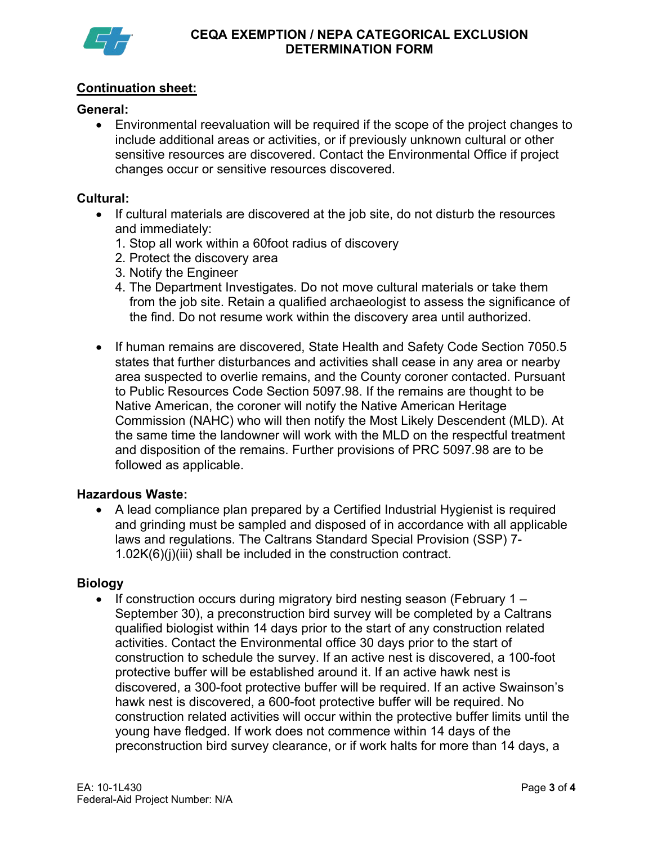

## **Continuation sheet:**

### **General:**

• Environmental reevaluation will be required if the scope of the project changes to include additional areas or activities, or if previously unknown cultural or other sensitive resources are discovered. Contact the Environmental Office if project changes occur or sensitive resources discovered.

#### **Cultural:**

- If cultural materials are discovered at the job site, do not disturb the resources and immediately:
	- 1. Stop all work within a 60foot radius of discovery
	- 2. Protect the discovery area
	- 3. Notify the Engineer
	- 4. The Department Investigates. Do not move cultural materials or take them from the job site. Retain a qualified archaeologist to assess the significance of the find. Do not resume work within the discovery area until authorized.
- If human remains are discovered, State Health and Safety Code Section 7050.5 states that further disturbances and activities shall cease in any area or nearby area suspected to overlie remains, and the County coroner contacted. Pursuant to Public Resources Code Section 5097.98. If the remains are thought to be Native American, the coroner will notify the Native American Heritage Commission (NAHC) who will then notify the Most Likely Descendent (MLD). At the same time the landowner will work with the MLD on the respectful treatment and disposition of the remains. Further provisions of PRC 5097.98 are to be followed as applicable.

#### **Hazardous Waste:**

• A lead compliance plan prepared by a Certified Industrial Hygienist is required and grinding must be sampled and disposed of in accordance with all applicable laws and regulations. The Caltrans Standard Special Provision (SSP) 7- 1.02K(6)(j)(iii) shall be included in the construction contract.

#### **Biology**

• If construction occurs during migratory bird nesting season (February 1 – September 30), a preconstruction bird survey will be completed by a Caltrans qualified biologist within 14 days prior to the start of any construction related activities. Contact the Environmental office 30 days prior to the start of construction to schedule the survey. If an active nest is discovered, a 100-foot protective buffer will be established around it. If an active hawk nest is discovered, a 300-foot protective buffer will be required. If an active Swainson's hawk nest is discovered, a 600-foot protective buffer will be required. No construction related activities will occur within the protective buffer limits until the young have fledged. If work does not commence within 14 days of the preconstruction bird survey clearance, or if work halts for more than 14 days, a